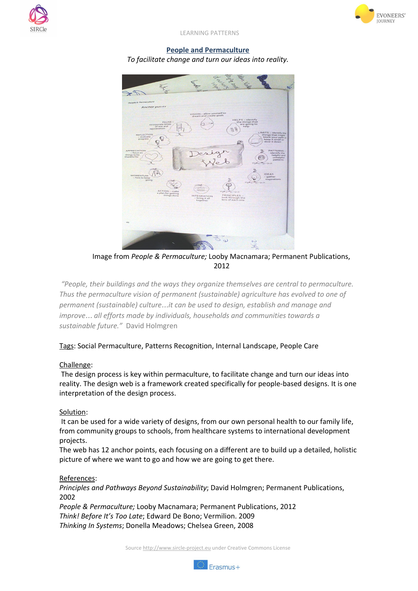



LEARNING PATTERNS

## **People and Permaculture** *To facilitate change and turn our ideas into reality.*



Image from *People & Permaculture;* Looby Macnamara; Permanent Publications, 2012

*"People, their buildings and the ways they organize themselves are central to permaculture. Thus the permaculture vision of permanent (sustainable) agriculture has evolved to one of permanent (sustainable) culture*…*it can be used to design, establish and manage and improve*… *all efforts made by individuals, households and communities towards a sustainable future."* David Holmgren

Tags: Social Permaculture, Patterns Recognition, Internal Landscape, People Care

## Challenge:

The design process is key within permaculture, to facilitate change and turn our ideas into reality. The design web is a framework created specifically for people-based designs. It is one interpretation of the design process.

## Solution:

It can be used for a wide variety of designs, from our own personal health to our family life, from community groups to schools, from healthcare systems to international development projects.

The web has 12 anchor points, each focusing on a different are to build up a detailed, holistic picture of where we want to go and how we are going to get there.

## References:

*Principles and Pathways Beyond Sustainability*; David Holmgren; Permanent Publications, 2002

*People & Permaculture;* Looby Macnamara; Permanent Publications, 2012 *Think! Before It's Too Late*; Edward De Bono; Vermilion. 2009 *Thinking In Systems*; Donella Meadows; Chelsea Green, 2008

Source [http://www.sircle-project.eu](http://www.sircle-project.eu/) under Creative Commons License